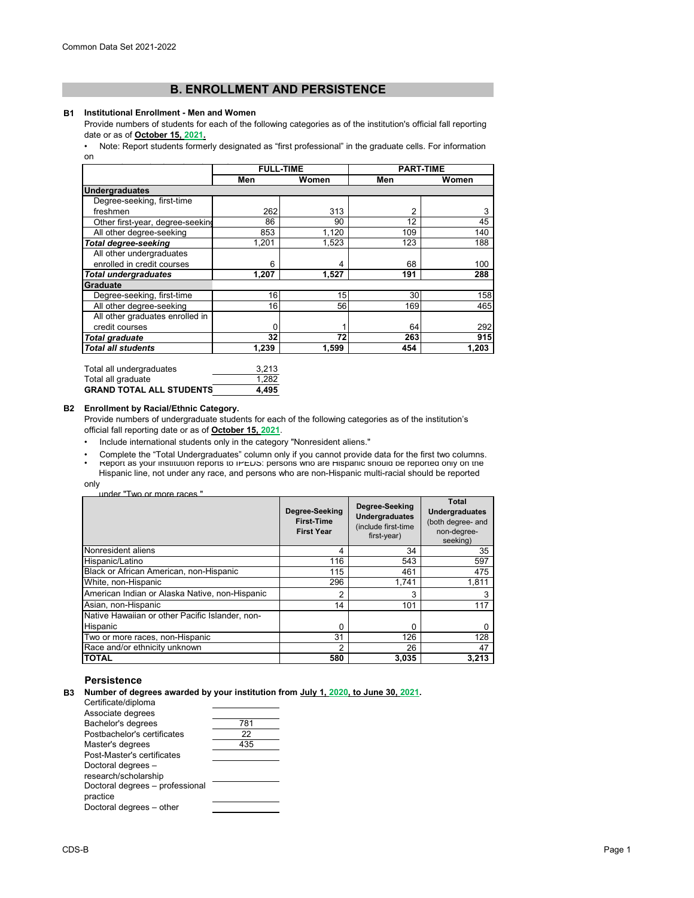# **B. ENROLLMENT AND PERSISTENCE**

#### **B1 Institutional Enrollment - Men and Women**

Provide numbers of students for each of the following categories as of the institution's official fall reporting date or as of **October 15, 2021.**<br>• Note: Report students forme

[• Note: Report students formerly designated as "first professional" in the graduate cells. For information](https://nces.ed.gov/ipeds/pdf/Reporting_Study_Abroad%20Students_5.31.17.pdf)  [on](https://nces.ed.gov/ipeds/pdf/Reporting_Study_Abroad%20Students_5.31.17.pdf) 

|                                  | <b>FULL-TIME</b> |       | <b>PART-TIME</b> |       |
|----------------------------------|------------------|-------|------------------|-------|
|                                  | Men              | Women | Men              | Women |
| <b>Undergraduates</b>            |                  |       |                  |       |
| Degree-seeking, first-time       |                  |       |                  |       |
| freshmen                         | 262              | 313   | 2                | 3     |
| Other first-year, degree-seeking | 86               | 90    | 12               | 45    |
| All other degree-seeking         | 853              | 1,120 | 109              | 140   |
| <b>Total degree-seeking</b>      | 1.201            | 1,523 | 123              | 188   |
| All other undergraduates         |                  |       |                  |       |
| enrolled in credit courses       | 6                | 4     | 68               | 100   |
| <b>Total undergraduates</b>      | 1.207            | 1.527 | 191              | 288   |
| Graduate                         |                  |       |                  |       |
| Degree-seeking, first-time       | 16               | 15    | 30               | 158   |
| All other degree-seeking         | 16               | 56    | 169              | 465   |
| All other graduates enrolled in  |                  |       |                  |       |
| credit courses                   |                  |       | 64               | 292   |
| <b>Total graduate</b>            | 32               | 72    | 263              | 915   |
| <b>Total all students</b>        | 1.239            | 1.599 | 454              | 1,203 |

| Total all undergraduates        | 3.213 |
|---------------------------------|-------|
| Total all graduate              | 1.282 |
| <b>GRAND TOTAL ALL STUDENTS</b> | 4.495 |

### **B2 Enrollment by Racial/Ethnic Category.**

Provide numbers of undergraduate students for each of the following categories as of the institution's official fall reporting date or as of **October 15, 2021**.

• Include international students only in the category "Nonresident aliens."

• Report as your institution reports to IPEDS: persons who are Hispanic should be reported only on the Hispanic line, not under any race, and persons who are non-Hispanic multi-racial should be reported • Complete the "Total Undergraduates" column only if you cannot provide data for the first two columns.

only

| under "Two or more races" |  |
|---------------------------|--|
|                           |  |

|                                                 | Degree-Seeking<br><b>First-Time</b><br><b>First Year</b> | Degree-Seeking<br><b>Undergraduates</b><br>(include first-time<br>first-year) | Total<br><b>Undergraduates</b><br>(both degree- and<br>non-degree-<br>seeking) |
|-------------------------------------------------|----------------------------------------------------------|-------------------------------------------------------------------------------|--------------------------------------------------------------------------------|
| Nonresident aliens                              | 4                                                        | 34                                                                            | 35                                                                             |
| Hispanic/Latino                                 | 116                                                      | 543                                                                           | 597                                                                            |
| Black or African American, non-Hispanic         | 115                                                      | 461                                                                           | 475                                                                            |
| White, non-Hispanic                             | 296                                                      | 1.741                                                                         | 1,811                                                                          |
| American Indian or Alaska Native, non-Hispanic  | 2                                                        | 3                                                                             |                                                                                |
| Asian, non-Hispanic                             | 14                                                       | 101                                                                           | 117                                                                            |
| Native Hawaiian or other Pacific Islander, non- |                                                          |                                                                               |                                                                                |
| Hispanic                                        | O                                                        | 0                                                                             |                                                                                |
| Two or more races, non-Hispanic                 | 31                                                       | 126                                                                           | 128                                                                            |
| Race and/or ethnicity unknown                   | 2                                                        | 26                                                                            | 47                                                                             |
| <b>TOTAL</b>                                    | 580                                                      | 3,035                                                                         | 3,213                                                                          |

## **Persistence**

**B3 Number of degrees awarded by your institution from July 1, 2020, to June 30, 2021.**

| Certificate/diploma             |     |
|---------------------------------|-----|
| Associate degrees               |     |
| Bachelor's degrees              | 781 |
| Postbachelor's certificates     | 22  |
| Master's degrees                | 435 |
| Post-Master's certificates      |     |
| Doctoral degrees -              |     |
| research/scholarship            |     |
| Doctoral degrees - professional |     |
| practice                        |     |
| Doctoral degrees - other        |     |
|                                 |     |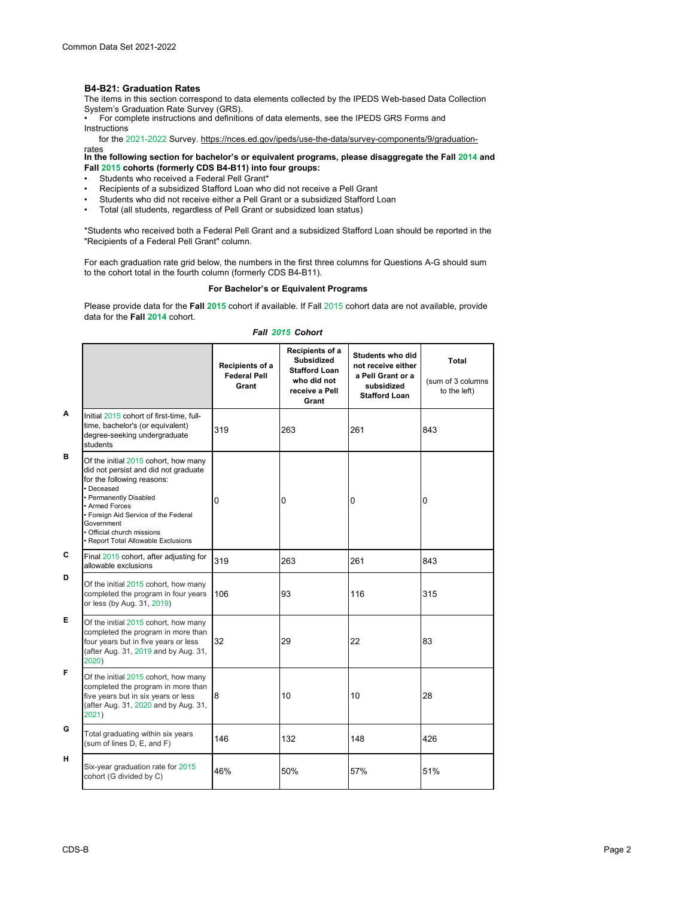### **B4-B21: Graduation Rates**

The items in this section correspond to data elements collected by the IPEDS Web-based Data Collection

System's Graduation Rate Survey (GRS). • For complete instructions and definitions of data elements, see the IPEDS GRS Forms and Instructions

for the 2021-2022 Survey. https://nces.ed.gov/ipeds/use-the-data/survey-components/9/graduation-

rates<br>In the following section for bachelor's or equivalent programs, please disaggregate the Fall <mark>2014</mark> and **Fall 2015 cohorts (formerly CDS B4-B11) into four groups:**

- Students who received a Federal Pell Grant\*
- Recipients of a subsidized Stafford Loan who did not receive a Pell Grant<br>• Students who did not receive either a Pell Grant or a subsidized Stafford L
- Students who did not receive either a Pell Grant or a subsidized Stafford Loan<br>• Total (all students, regardless of Pell Grant or subsidized Ioan status)
- Total (all students, regardless of Pell Grant or subsidized loan status)

\*Students who received both a Federal Pell Grant and a subsidized Stafford Loan should be reported in the "Recipients of a Federal Pell Grant" column.

For each graduation rate grid below, the numbers in the first three columns for Questions A-G should sum to the cohort total in the fourth column (formerly CDS B4-B11).

### **For Bachelor's or Equivalent Programs**

Please provide data for the **Fall 2015** cohort if available. If Fall 2015 cohort data are not available, provide data for the **Fall 2014** cohort.

|  | Fall 2015 Cohort |
|--|------------------|
|  |                  |

|   |                                                                                                                                                                                                                                                                                                 | Recipients of a<br><b>Federal Pell</b><br>Grant | Recipients of a<br><b>Subsidized</b><br><b>Stafford Loan</b><br>who did not<br>receive a Pell<br>Grant | Students who did<br>not receive either<br>a Pell Grant or a<br>subsidized<br><b>Stafford Loan</b> | Total<br>(sum of 3 columns<br>to the left) |
|---|-------------------------------------------------------------------------------------------------------------------------------------------------------------------------------------------------------------------------------------------------------------------------------------------------|-------------------------------------------------|--------------------------------------------------------------------------------------------------------|---------------------------------------------------------------------------------------------------|--------------------------------------------|
| A | Initial 2015 cohort of first-time, full-<br>time, bachelor's (or equivalent)<br>degree-seeking undergraduate<br>students                                                                                                                                                                        | 319                                             | 263                                                                                                    | 261                                                                                               | 843                                        |
| в | Of the initial 2015 cohort, how many<br>did not persist and did not graduate<br>for the following reasons:<br>· Deceased<br>· Permanently Disabled<br>• Armed Forces<br>• Foreign Aid Service of the Federal<br>Government<br>· Official church missions<br>• Report Total Allowable Exclusions | 0                                               | 0                                                                                                      | 0                                                                                                 | $\overline{0}$                             |
| C | Final 2015 cohort, after adjusting for<br>allowable exclusions                                                                                                                                                                                                                                  | 319                                             | 263                                                                                                    | 261                                                                                               | 843                                        |
| D | Of the initial 2015 cohort, how many<br>completed the program in four years<br>or less (by Aug. 31, 2019)                                                                                                                                                                                       | 106                                             | 93                                                                                                     | 116                                                                                               | 315                                        |
| Е | Of the initial 2015 cohort, how many<br>completed the program in more than<br>four years but in five years or less<br>(after Aug. 31, 2019 and by Aug. 31,<br>2020)                                                                                                                             | 32                                              | 29                                                                                                     | 22                                                                                                | 83                                         |
| F | Of the initial 2015 cohort, how many<br>completed the program in more than<br>five years but in six years or less<br>(after Aug. 31, 2020 and by Aug. 31,<br>2021)                                                                                                                              | 8                                               | 10                                                                                                     | 10                                                                                                | 28                                         |
| G | Total graduating within six years<br>(sum of lines D, E, and F)                                                                                                                                                                                                                                 | 146                                             | 132                                                                                                    | 148                                                                                               | 426                                        |
| н | Six-year graduation rate for 2015<br>cohort (G divided by C)                                                                                                                                                                                                                                    | 46%                                             | 50%                                                                                                    | 57%                                                                                               | 51%                                        |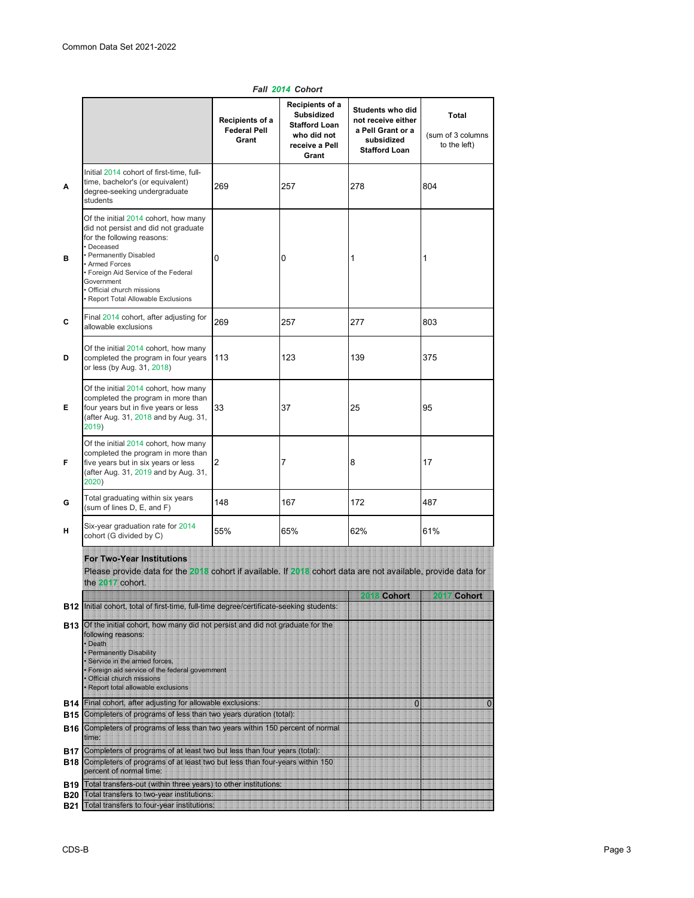|                                 |                                                                                                                                                                                                                                                                                                          | Recipients of a<br><b>Federal Pell</b><br>Grant | Recipients of a<br><b>Subsidized</b><br><b>Stafford Loan</b><br>who did not<br>receive a Pell<br>Grant | Students who did<br>not receive either<br>a Pell Grant or a<br>subsidized<br><b>Stafford Loan</b> | Total<br>(sum of 3 columns<br>to the left) |
|---------------------------------|----------------------------------------------------------------------------------------------------------------------------------------------------------------------------------------------------------------------------------------------------------------------------------------------------------|-------------------------------------------------|--------------------------------------------------------------------------------------------------------|---------------------------------------------------------------------------------------------------|--------------------------------------------|
| A                               | Initial 2014 cohort of first-time, full-<br>time, bachelor's (or equivalent)<br>degree-seeking undergraduate<br>students                                                                                                                                                                                 | 269                                             | 257                                                                                                    | 278                                                                                               | 804                                        |
| в                               | Of the initial 2014 cohort, how many<br>did not persist and did not graduate<br>for the following reasons:<br>• Deceased<br>• Permanently Disabled<br>• Armed Forces<br>• Foreign Aid Service of the Federal<br>Government<br>· Official church missions<br>· Report Total Allowable Exclusions          | 0                                               | 0                                                                                                      | 1                                                                                                 | 1                                          |
| C                               | Final 2014 cohort, after adjusting for<br>allowable exclusions                                                                                                                                                                                                                                           | 269                                             | 257                                                                                                    | 277                                                                                               | 803                                        |
| D                               | Of the initial 2014 cohort, how many<br>completed the program in four years<br>or less (by Aug. 31, 2018)                                                                                                                                                                                                | 113                                             | 123                                                                                                    | 139                                                                                               | 375                                        |
| Е                               | Of the initial 2014 cohort, how many<br>completed the program in more than<br>four years but in five years or less<br>(after Aug. 31, 2018 and by Aug. 31,<br>2019)                                                                                                                                      | 33                                              | 37                                                                                                     | 25                                                                                                | 95                                         |
| F                               | Of the initial 2014 cohort, how many<br>completed the program in more than<br>five years but in six years or less<br>(after Aug. 31, 2019 and by Aug. 31,<br>2020)                                                                                                                                       | 2                                               | 7                                                                                                      | 8                                                                                                 | 17                                         |
| G                               | Total graduating within six years<br>(sum of lines D, E, and F)                                                                                                                                                                                                                                          | 148                                             | 167                                                                                                    | 172                                                                                               | 487                                        |
| н                               | Six-year graduation rate for 2014<br>cohort (G divided by C)                                                                                                                                                                                                                                             | 55%                                             | 65%                                                                                                    | 62%                                                                                               | 61%                                        |
|                                 | For Two-Year Institutions<br>Please provide data for the 2018 cohort if available. If 2018 cohort data are not available, provide data for<br>the Will cohort.                                                                                                                                           |                                                 |                                                                                                        |                                                                                                   |                                            |
|                                 | B12   Initial cohort, total of first-time, full-time degree/certificate-seeking students:                                                                                                                                                                                                                |                                                 |                                                                                                        | <b>Conort</b>                                                                                     | <b>Cohort</b>                              |
| <b>B13</b>                      | Of the initial cohort, how many did not persist and did not graduate for the<br>following reasons:<br>· Death<br><b>* Permanently Disability</b><br>Service in the armed forces,<br>* Foreign aid service of the federal government<br>· Official church missions<br>* Report total allowable exclusions |                                                 |                                                                                                        |                                                                                                   |                                            |
| <b>B14</b>                      | Final cohort, after adjusting for allowable exclusions:                                                                                                                                                                                                                                                  |                                                 |                                                                                                        | 狐                                                                                                 | O                                          |
|                                 | B15 Completers of programs of less than two years duration (total):                                                                                                                                                                                                                                      |                                                 |                                                                                                        |                                                                                                   |                                            |
| <b>B16</b>                      | Completers of programs of less than two years within 150 percent of normal<br>time:                                                                                                                                                                                                                      |                                                 |                                                                                                        |                                                                                                   |                                            |
| B17<br><b>B18</b><br><b>B19</b> | Completers of programs of at least two but less than four years (total):<br>Completers of programs of at least two but less than four-years within 150<br>percent of normal time:<br>Total transfers-out (within three years) to other institutions:                                                     |                                                 |                                                                                                        |                                                                                                   |                                            |
|                                 | B20 Total transfers to two-year institutions:                                                                                                                                                                                                                                                            |                                                 |                                                                                                        |                                                                                                   |                                            |

*Fall 2014 Cohort*

**B21** Total transfers to four-year institutions: